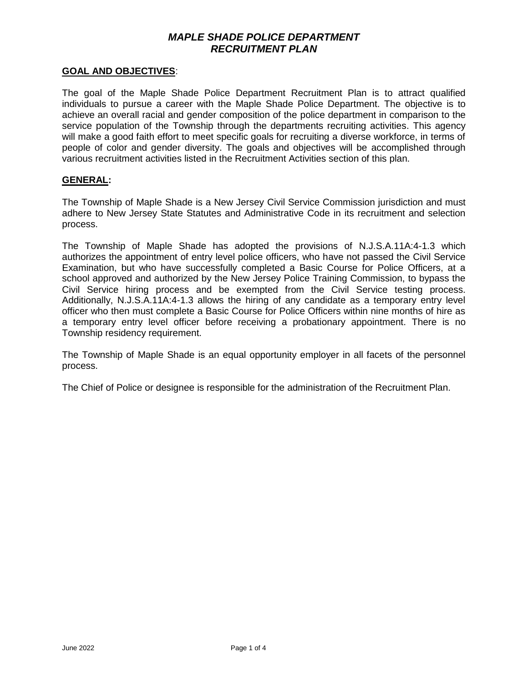## **GOAL AND OBJECTIVES**:

The goal of the Maple Shade Police Department Recruitment Plan is to attract qualified individuals to pursue a career with the Maple Shade Police Department. The objective is to achieve an overall racial and gender composition of the police department in comparison to the service population of the Township through the departments recruiting activities. This agency will make a good faith effort to meet specific goals for recruiting a diverse workforce, in terms of people of color and gender diversity. The goals and objectives will be accomplished through various recruitment activities listed in the Recruitment Activities section of this plan.

## **GENERAL:**

The Township of Maple Shade is a New Jersey Civil Service Commission jurisdiction and must adhere to New Jersey State Statutes and Administrative Code in its recruitment and selection process.

The Township of Maple Shade has adopted the provisions of N.J.S.A.11A:4-1.3 which authorizes the appointment of entry level police officers, who have not passed the Civil Service Examination, but who have successfully completed a Basic Course for Police Officers, at a school approved and authorized by the New Jersey Police Training Commission, to bypass the Civil Service hiring process and be exempted from the Civil Service testing process. Additionally, N.J.S.A.11A:4-1.3 allows the hiring of any candidate as a temporary entry level officer who then must complete a Basic Course for Police Officers within nine months of hire as a temporary entry level officer before receiving a probationary appointment. There is no Township residency requirement.

The Township of Maple Shade is an equal opportunity employer in all facets of the personnel process.

The Chief of Police or designee is responsible for the administration of the Recruitment Plan.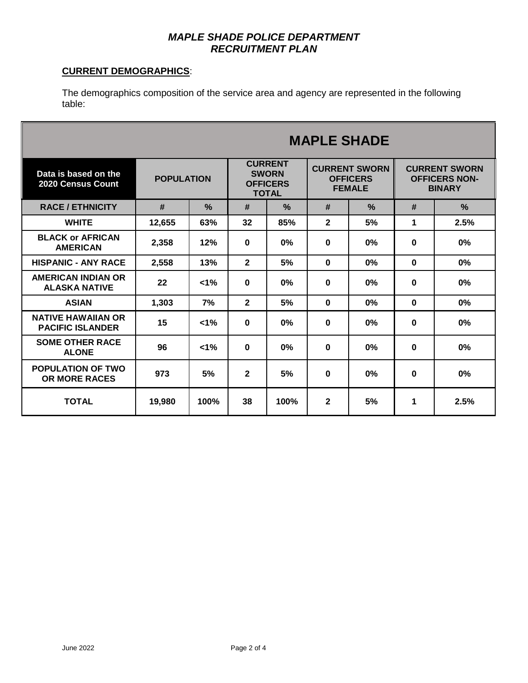# **CURRENT DEMOGRAPHICS**:

The demographics composition of the service area and agency are represented in the following table:

|                                                      | <b>MAPLE SHADE</b> |         |                                                                   |               |                                                          |               |                                                               |               |
|------------------------------------------------------|--------------------|---------|-------------------------------------------------------------------|---------------|----------------------------------------------------------|---------------|---------------------------------------------------------------|---------------|
| Data is based on the<br><b>2020 Census Count</b>     | <b>POPULATION</b>  |         | <b>CURRENT</b><br><b>SWORN</b><br><b>OFFICERS</b><br><b>TOTAL</b> |               | <b>CURRENT SWORN</b><br><b>OFFICERS</b><br><b>FEMALE</b> |               | <b>CURRENT SWORN</b><br><b>OFFICERS NON-</b><br><b>BINARY</b> |               |
| <b>RACE / ETHNICITY</b>                              | #                  | $\%$    | #                                                                 | $\frac{0}{2}$ | #                                                        | $\frac{9}{6}$ | #                                                             | $\frac{0}{2}$ |
| <b>WHITE</b>                                         | 12,655             | 63%     | 32                                                                | 85%           | $\mathbf{2}$                                             | 5%            | 1                                                             | 2.5%          |
| <b>BLACK or AFRICAN</b><br><b>AMERICAN</b>           | 2,358              | 12%     | $\Omega$                                                          | 0%            | $\bf{0}$                                                 | 0%            | $\bf{0}$                                                      | 0%            |
| <b>HISPANIC - ANY RACE</b>                           | 2,558              | 13%     | $\overline{2}$                                                    | 5%            | $\bf{0}$                                                 | $0\%$         | $\bf{0}$                                                      | 0%            |
| <b>AMERICAN INDIAN OR</b><br><b>ALASKA NATIVE</b>    | 22                 | $< 1\%$ | $\bf{0}$                                                          | 0%            | $\bf{0}$                                                 | 0%            | $\bf{0}$                                                      | 0%            |
| <b>ASIAN</b>                                         | 1,303              | 7%      | $\mathbf{2}$                                                      | 5%            | $\mathbf 0$                                              | 0%            | $\mathbf 0$                                                   | 0%            |
| <b>NATIVE HAWAIIAN OR</b><br><b>PACIFIC ISLANDER</b> | 15                 | $< 1\%$ | $\bf{0}$                                                          | 0%            | $\mathbf 0$                                              | 0%            | $\bf{0}$                                                      | 0%            |
| <b>SOME OTHER RACE</b><br><b>ALONE</b>               | 96                 | $< 1\%$ | $\bf{0}$                                                          | $0\%$         | $\bf{0}$                                                 | 0%            | $\bf{0}$                                                      | 0%            |
| <b>POPULATION OF TWO</b><br><b>OR MORE RACES</b>     | 973                | 5%      | $\mathbf{2}$                                                      | 5%            | $\mathbf 0$                                              | 0%            | $\bf{0}$                                                      | 0%            |
| <b>TOTAL</b>                                         | 19,980             | 100%    | 38                                                                | 100%          | $\mathbf{2}$                                             | 5%            | 1                                                             | 2.5%          |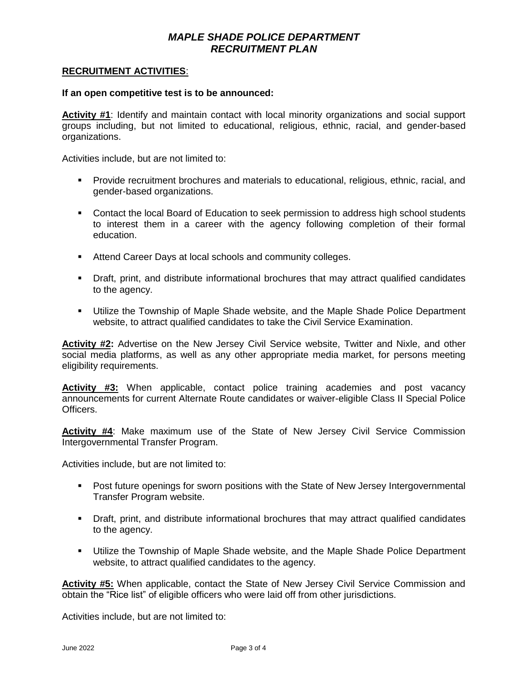## **RECRUITMENT ACTIVITIES**:

#### **If an open competitive test is to be announced:**

**Activity #1**: Identify and maintain contact with local minority organizations and social support groups including, but not limited to educational, religious, ethnic, racial, and gender-based organizations.

Activities include, but are not limited to:

- **Provide recruitment brochures and materials to educational, religious, ethnic, racial, and** gender-based organizations.
- **Contact the local Board of Education to seek permission to address high school students** to interest them in a career with the agency following completion of their formal education.
- **Attend Career Days at local schools and community colleges.**
- Draft, print, and distribute informational brochures that may attract qualified candidates to the agency.
- Utilize the Township of Maple Shade website, and the Maple Shade Police Department website, to attract qualified candidates to take the Civil Service Examination.

**Activity #2:** Advertise on the New Jersey Civil Service website, Twitter and Nixle, and other social media platforms, as well as any other appropriate media market, for persons meeting eligibility requirements.

**Activity #3:** When applicable, contact police training academies and post vacancy announcements for current Alternate Route candidates or waiver-eligible Class II Special Police Officers.

**Activity #4**: Make maximum use of the State of New Jersey Civil Service Commission Intergovernmental Transfer Program.

Activities include, but are not limited to:

- Post future openings for sworn positions with the State of New Jersey Intergovernmental Transfer Program website.
- Draft, print, and distribute informational brochures that may attract qualified candidates to the agency.
- Utilize the Township of Maple Shade website, and the Maple Shade Police Department website, to attract qualified candidates to the agency.

**Activity #5:** When applicable, contact the State of New Jersey Civil Service Commission and obtain the "Rice list" of eligible officers who were laid off from other jurisdictions.

Activities include, but are not limited to: